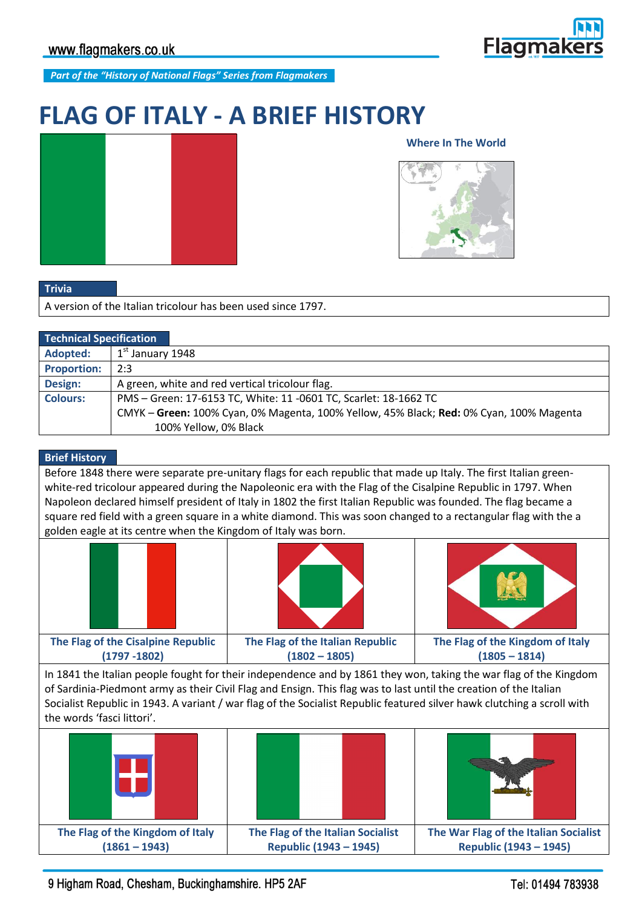**Flagmal** 

*Part of the "History of National Flags" Series from Flagmakers*

# **FLAG OF ITALY - A BRIEF HISTORY**



## **Where In The World**



#### **Trivia**

A version of the Italian tricolour has been used since 1797.

| <b>Technical Specification</b> |                                                                                         |
|--------------------------------|-----------------------------------------------------------------------------------------|
| Adopted:                       | $1st$ January 1948                                                                      |
| <b>Proportion:</b>             | 2:3                                                                                     |
| Design:                        | A green, white and red vertical tricolour flag.                                         |
| <b>Colours:</b>                | PMS - Green: 17-6153 TC, White: 11 -0601 TC, Scarlet: 18-1662 TC                        |
|                                | CMYK - Green: 100% Cyan, 0% Magenta, 100% Yellow, 45% Black; Red: 0% Cyan, 100% Magenta |
|                                | 100% Yellow, 0% Black                                                                   |

## **Brief History**

Before 1848 there were separate pre-unitary flags for each republic that made up Italy. The first Italian greenwhite-red tricolour appeared during the Napoleonic era with the Flag of the Cisalpine Republic in 1797. When Napoleon declared himself president of Italy in 1802 the first Italian Republic was founded. The flag became a square red field with a green square in a white diamond. This was soon changed to a rectangular flag with the a golden eagle at its centre when the Kingdom of Italy was born.







**The Flag of the Cisalpine Republic (1797 -1802) The Flag of the Italian Republic (1802 – 1805) The Flag of the Kingdom of Italy (1805 – 1814)**

In 1841 the Italian people fought for their independence and by 1861 they won, taking the war flag of the Kingdom of Sardinia-Piedmont army as their Civil Flag and Ensign. This flag was to last until the creation of the Italian Socialist Republic in 1943. A variant / war flag of the Socialist Republic featured silver hawk clutching a scroll with the words 'fasci littori'.



9 Higham Road, Chesham, Buckinghamshire. HP5 2AF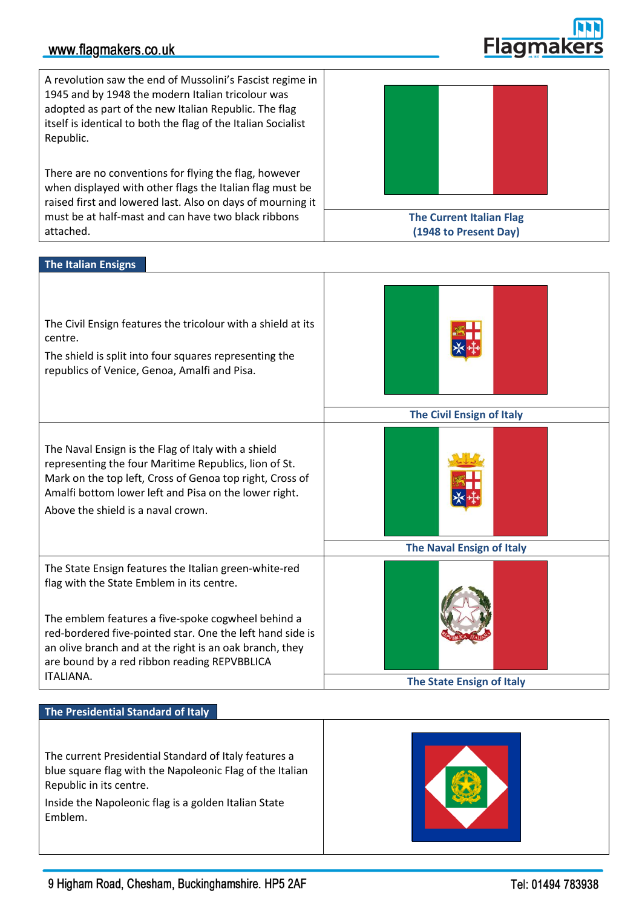## www.flagmakers.co.uk

A revolution saw the end of Mussolini's Fascist regime in 1945 and by 1948 the modern Italian tricolour was adopted as part of the new Italian Republic. The flag itself is identical to both the flag of the Italian Socialist Republic.

There are no conventions for flying the flag, however when displayed with other flags the Italian flag must be raised first and lowered last. Also on days of mourning it must be at half-mast and can have two black ribbons attached.



### **The Italian Ensigns**



#### **The Presidential Standard of Italy**

The current Presidential Standard of Italy features a blue square flag with the Napoleonic Flag of the Italian Republic in its centre.

Inside the Napoleonic flag is a golden Italian State Emblem.





Flagmal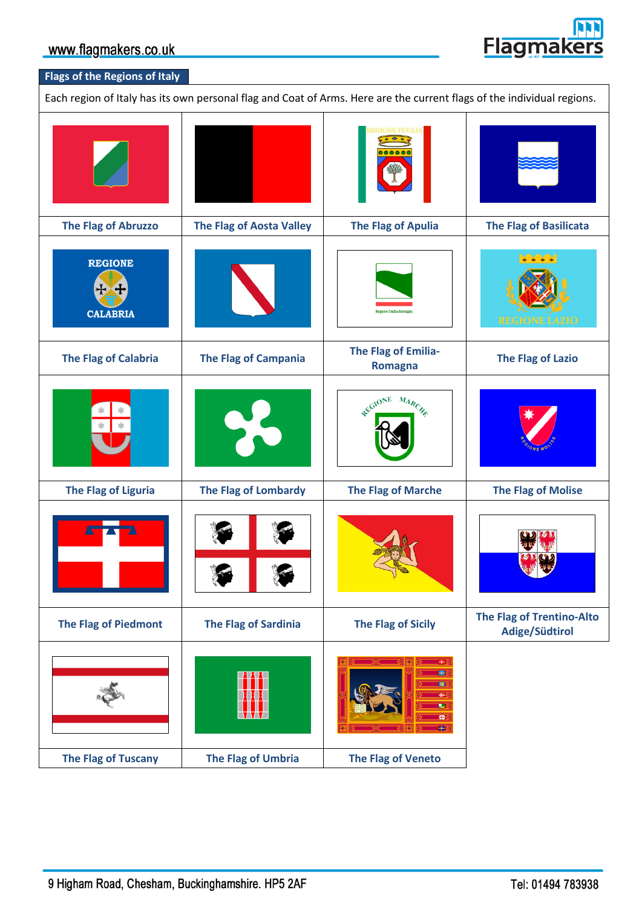

## **Flags of the Regions of Italy**

Each region of Italy has its own personal flag and Coat of Arms. Here are the current flags of the individual regions.

|                                   |                                 | <b>GIONE PUGLIA</b>                   |                                                    |
|-----------------------------------|---------------------------------|---------------------------------------|----------------------------------------------------|
| <b>The Flag of Abruzzo</b>        | <b>The Flag of Aosta Valley</b> | <b>The Flag of Apulia</b>             | <b>The Flag of Basilicata</b>                      |
| <b>REGIONE</b><br><b>CALABRIA</b> |                                 | Regione Emilia-Romagni                | <b>VARIA</b><br><b>REGIONE</b><br>ZHO              |
| <b>The Flag of Calabria</b>       | <b>The Flag of Campania</b>     | The Flag of Emilia-<br><b>Romagna</b> | <b>The Flag of Lazio</b>                           |
|                                   | $\mathbf{P}^{\mathbf{d}}$       | REGIONE MARCHE                        |                                                    |
| <b>The Flag of Liguria</b>        | <b>The Flag of Lombardy</b>     | <b>The Flag of Marche</b>             | <b>The Flag of Molise</b>                          |
|                                   |                                 |                                       |                                                    |
| <b>The Flag of Piedmont</b>       | <b>The Flag of Sardinia</b>     | <b>The Flag of Sicily</b>             | <b>The Flag of Trentino-Alto</b><br>Adige/Südtirol |
|                                   |                                 | <b>H</b><br><b>B</b><br>æ             |                                                    |
| <b>The Flag of Tuscany</b>        | <b>The Flag of Umbria</b>       | <b>The Flag of Veneto</b>             |                                                    |